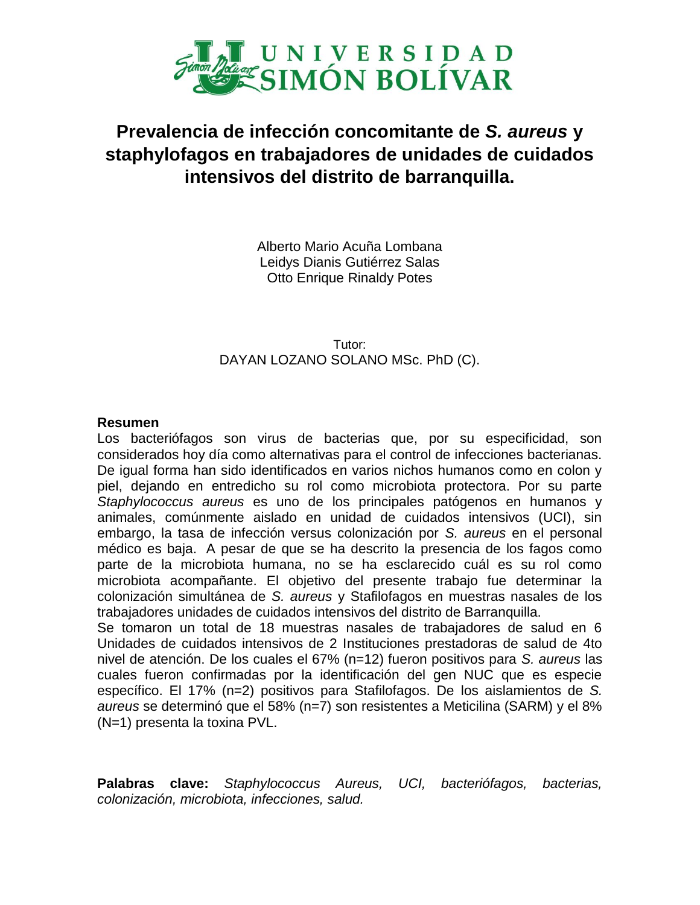

## **Prevalencia de infección concomitante de** *S. aureus* **y staphylofagos en trabajadores de unidades de cuidados intensivos del distrito de barranquilla.**

Alberto Mario Acuña Lombana Leidys Dianis Gutiérrez Salas Otto Enrique Rinaldy Potes

Tutor: DAYAN LOZANO SOLANO MSc. PhD (C).

## **Resumen**

Los bacteriófagos son virus de bacterias que, por su especificidad, son considerados hoy día como alternativas para el control de infecciones bacterianas. De igual forma han sido identificados en varios nichos humanos como en colon y piel, dejando en entredicho su rol como microbiota protectora. Por su parte *Staphylococcus aureus* es uno de los principales patógenos en humanos y animales, comúnmente aislado en unidad de cuidados intensivos (UCI), sin embargo, la tasa de infección versus colonización por *S. aureus* en el personal médico es baja. A pesar de que se ha descrito la presencia de los fagos como parte de la microbiota humana, no se ha esclarecido cuál es su rol como microbiota acompañante. El objetivo del presente trabajo fue determinar la colonización simultánea de *S. aureus* y Stafilofagos en muestras nasales de los trabajadores unidades de cuidados intensivos del distrito de Barranquilla. Se tomaron un total de 18 muestras nasales de trabajadores de salud en 6

Unidades de cuidados intensivos de 2 Instituciones prestadoras de salud de 4to nivel de atención. De los cuales el 67% (n=12) fueron positivos para *S. aureus* las cuales fueron confirmadas por la identificación del gen NUC que es especie específico. El 17% (n=2) positivos para Stafilofagos. De los aislamientos de *S. aureus* se determinó que el 58% (n=7) son resistentes a Meticilina (SARM) y el 8% (N=1) presenta la toxina PVL.

**Palabras clave:** *Staphylococcus Aureus, UCI, bacteriófagos, bacterias, colonización, microbiota, infecciones, salud.*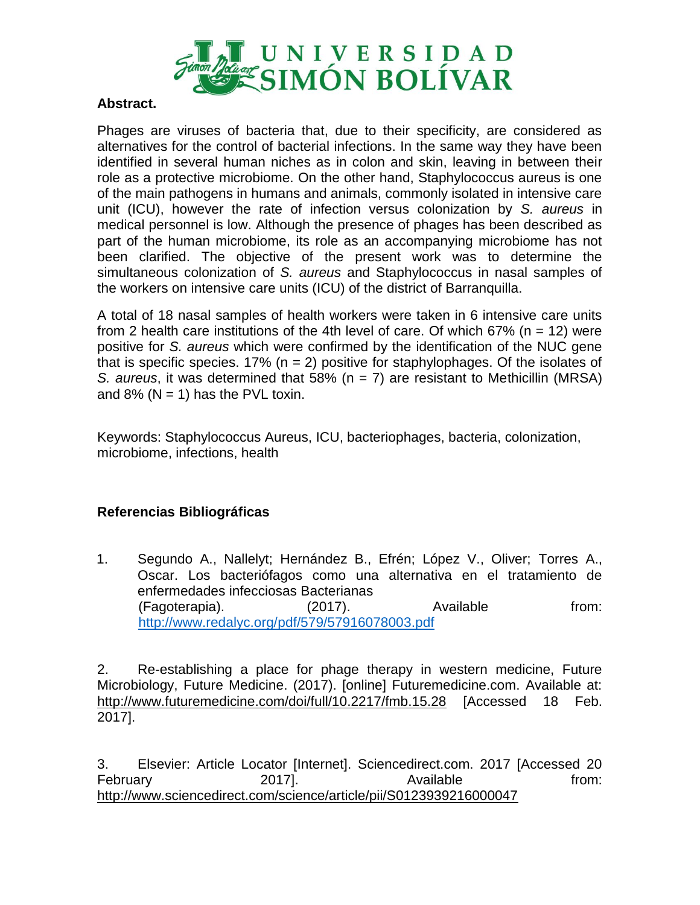

## **Abstract.**

Phages are viruses of bacteria that, due to their specificity, are considered as alternatives for the control of bacterial infections. In the same way they have been identified in several human niches as in colon and skin, leaving in between their role as a protective microbiome. On the other hand, Staphylococcus aureus is one of the main pathogens in humans and animals, commonly isolated in intensive care unit (ICU), however the rate of infection versus colonization by *S. aureus* in medical personnel is low. Although the presence of phages has been described as part of the human microbiome, its role as an accompanying microbiome has not been clarified. The objective of the present work was to determine the simultaneous colonization of *S. aureus* and Staphylococcus in nasal samples of the workers on intensive care units (ICU) of the district of Barranquilla.

A total of 18 nasal samples of health workers were taken in 6 intensive care units from 2 health care institutions of the 4th level of care. Of which  $67\%$  (n = 12) were positive for *S. aureus* which were confirmed by the identification of the NUC gene that is specific species. 17% ( $n = 2$ ) positive for staphylophages. Of the isolates of *S. aureus*, it was determined that 58% (n = 7) are resistant to Methicillin (MRSA) and 8% ( $N = 1$ ) has the PVL toxin.

Keywords: Staphylococcus Aureus, ICU, bacteriophages, bacteria, colonization, microbiome, infections, health

## **Referencias Bibliográficas**

1. Segundo A., Nallelyt; Hernández B., Efrén; López V., Oliver; Torres A., Oscar. Los bacteriófagos como una alternativa en el tratamiento de enfermedades infecciosas Bacterianas (Fagoterapia). (2017). Available from: <http://www.redalyc.org/pdf/579/57916078003.pdf>

2. Re-establishing a place for phage therapy in western medicine, Future Microbiology, Future Medicine. (2017). [online] Futuremedicine.com. Available at: http://www.futuremedicine.com/doi/full/10.2217/fmb.15.28 [Accessed 18 Feb. 2017].

3. Elsevier: Article Locator [Internet]. Sciencedirect.com. 2017 [Accessed 20 February 2017]. Available from: http://www.sciencedirect.com/science/article/pii/S0123939216000047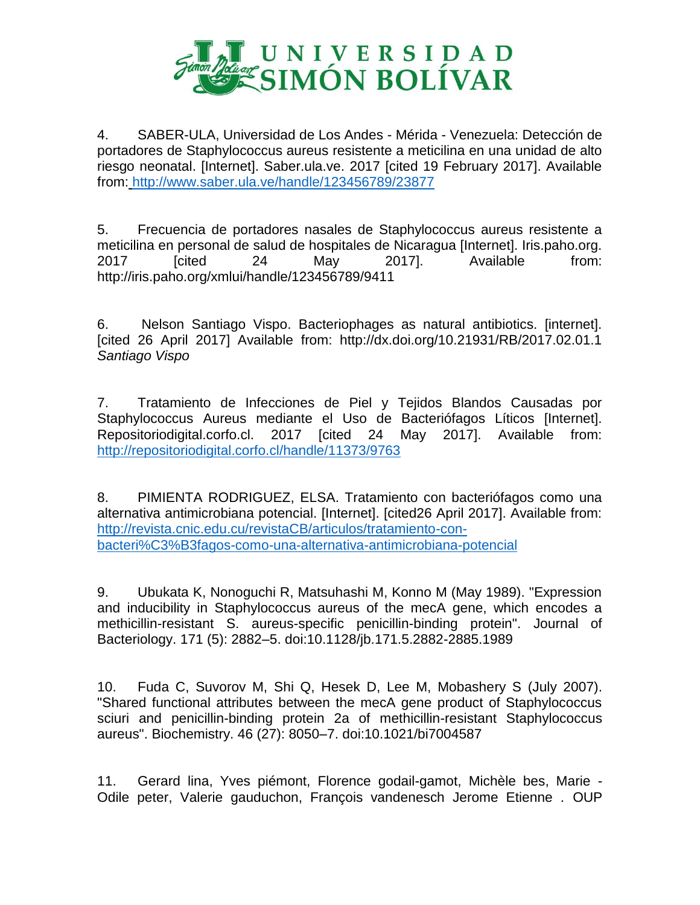

4. SABER-ULA, Universidad de Los Andes - Mérida - Venezuela: Detección de portadores de Staphylococcus aureus resistente a meticilina en una unidad de alto riesgo neonatal. [Internet]. Saber.ula.ve. 2017 [cited 19 February 2017]. Available from: <http://www.saber.ula.ve/handle/123456789/23877>

5. Frecuencia de portadores nasales de Staphylococcus aureus resistente a meticilina en personal de salud de hospitales de Nicaragua [Internet]. Iris.paho.org. 2017 [cited 24 May 2017]. Available from: http://iris.paho.org/xmlui/handle/123456789/9411

6. Nelson Santiago Vispo. Bacteriophages as natural antibiotics. [internet]. [cited 26 April 2017] Available from: http://dx.doi.org/10.21931/RB/2017.02.01.1 *Santiago Vispo*

7. Tratamiento de Infecciones de Piel y Tejidos Blandos Causadas por Staphylococcus Aureus mediante el Uso de Bacteriófagos Líticos [Internet]. Repositoriodigital.corfo.cl. 2017 [cited 24 May 2017]. Available from: <http://repositoriodigital.corfo.cl/handle/11373/9763>

8. PIMIENTA RODRIGUEZ, ELSA. Tratamiento con bacteriófagos como una alternativa antimicrobiana potencial. [Internet]. [cited26 April 2017]. Available from: [http://revista.cnic.edu.cu/revistaCB/articulos/tratamiento-con](http://revista.cnic.edu.cu/revistaCB/articulos/tratamiento-con-bacteri%C3%B3fagos-como-una-alternativa-antimicrobiana-potencial)[bacteri%C3%B3fagos-como-una-alternativa-antimicrobiana-potencial](http://revista.cnic.edu.cu/revistaCB/articulos/tratamiento-con-bacteri%C3%B3fagos-como-una-alternativa-antimicrobiana-potencial)

9. Ubukata K, Nonoguchi R, Matsuhashi M, Konno M (May 1989). "Expression and inducibility in Staphylococcus aureus of the mecA gene, which encodes a methicillin-resistant S. aureus-specific penicillin-binding protein". Journal of Bacteriology. 171 (5): 2882–5. doi:10.1128/jb.171.5.2882-2885.1989

10. Fuda C, Suvorov M, Shi Q, Hesek D, Lee M, Mobashery S (July 2007). "Shared functional attributes between the mecA gene product of Staphylococcus sciuri and penicillin-binding protein 2a of methicillin-resistant Staphylococcus aureus". Biochemistry. 46 (27): 8050–7. doi:10.1021/bi7004587

11. Gerard lina, Yves piémont, Florence godail-gamot, Michèle bes, Marie - Odile peter, Valerie gauduchon, François vandenesch Jerome Etienne . OUP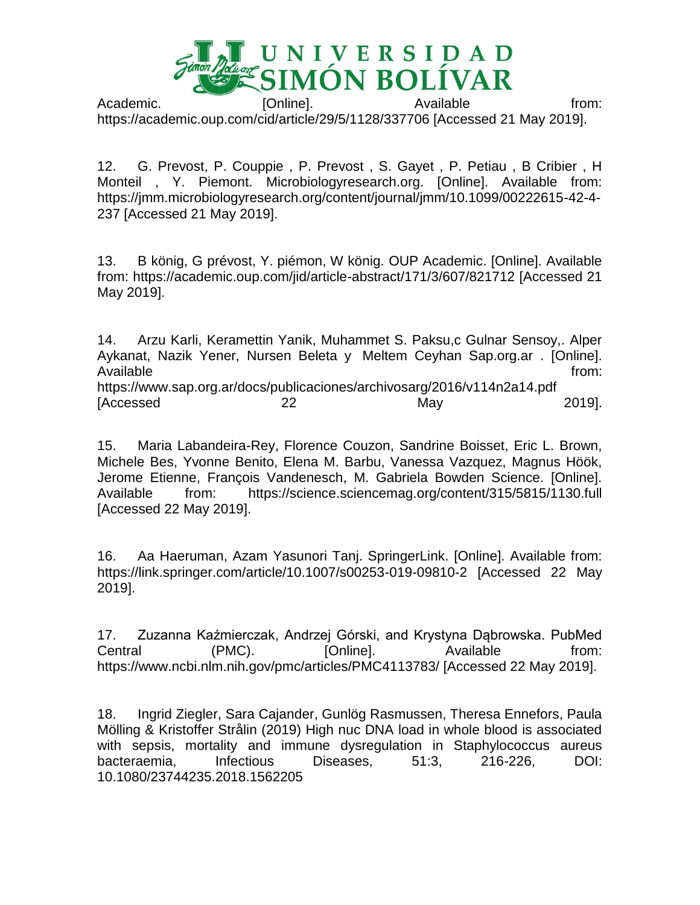

Academic. **[Online]. CONSERVING Available** from: https://academic.oup.com/cid/article/29/5/1128/337706 [Accessed 21 May 2019].

12. G. Prevost, P. Couppie , P. Prevost , S. Gayet , P. Petiau , B Cribier , H Monteil , Y. Piemont. Microbiologyresearch.org. [Online]. Available from: https://jmm.microbiologyresearch.org/content/journal/jmm/10.1099/00222615-42-4- 237 [Accessed 21 May 2019].

13. B könig, G prévost, Y. piémon, W könig. OUP Academic. [Online]. Available from: https://academic.oup.com/jid/article-abstract/171/3/607/821712 [Accessed 21 May 2019].

14. Arzu Karli, Keramettin Yanik, Muhammet S. Paksu,c Gulnar Sensoy,. Alper Aykanat, Nazik Yener, Nursen Beleta y Meltem Ceyhan Sap.org.ar . [Online]. Available from: the state of the state of the state of the state of the state of the state of the state of the state of the state of the state of the state of the state of the state of the state of the state of the state o https://www.sap.org.ar/docs/publicaciones/archivosarg/2016/v114n2a14.pdf [Accessed 22 May 2019].

15. Maria Labandeira-Rey, Florence Couzon, Sandrine Boisset, Eric L. Brown, Michele Bes, Yvonne Benito, Elena M. Barbu, Vanessa Vazquez, Magnus Höök, Jerome Etienne, François Vandenesch, M. Gabriela Bowden Science. [Online]. Available from: https://science.sciencemag.org/content/315/5815/1130.full [Accessed 22 May 2019].

16. Aa Haeruman, Azam Yasunori Tanj. SpringerLink. [Online]. Available from: https://link.springer.com/article/10.1007/s00253-019-09810-2 [Accessed 22 May 2019].

17. Zuzanna Kaźmierczak, Andrzej Górski, and Krystyna Dąbrowska. PubMed Central (PMC). [Online]. Available from: https://www.ncbi.nlm.nih.gov/pmc/articles/PMC4113783/ [Accessed 22 May 2019].

18. Ingrid Ziegler, Sara Cajander, Gunlög Rasmussen, Theresa Ennefors, Paula Mölling & Kristoffer Strålin (2019) High nuc DNA load in whole blood is associated with sepsis, mortality and immune dysregulation in Staphylococcus aureus bacteraemia, Infectious Diseases, 51:3, 216-226, DOI: 10.1080/23744235.2018.1562205